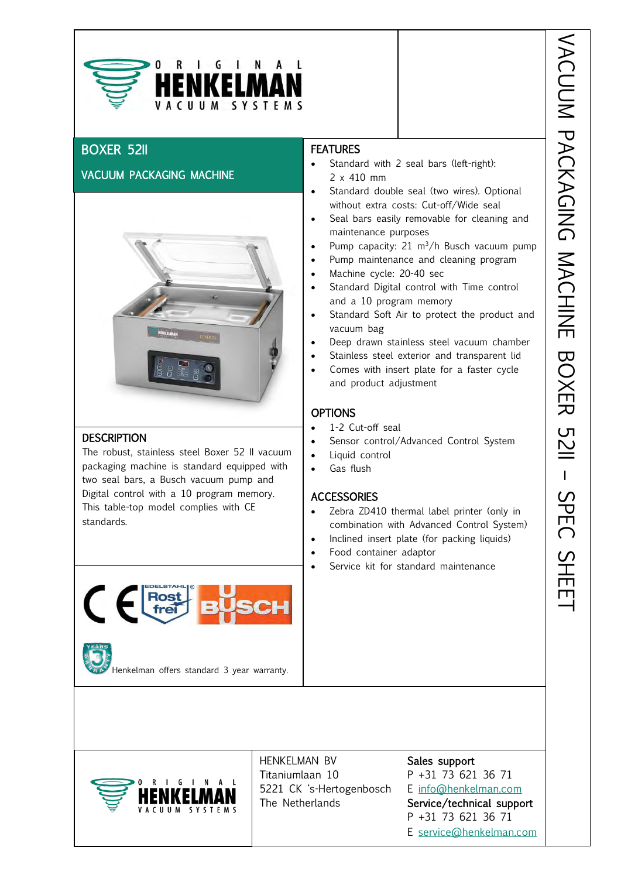

# BOXER 52II

## VACUUM PACKAGING MACHINE



#### **DESCRIPTION**

The robust, stainless steel Boxer 52 II vacuum packaging machine is standard equipped with two seal bars, a Busch vacuum pump and Digital control with a 10 program memory. This table-top model complies with CE standards.



Henkelman offers standard 3 year warranty.

## **FEATURES**

- Standard with 2 seal bars (left-right): 2 x 410 mm
- Standard double seal (two wires). Optional without extra costs: Cut-off/Wide seal
- Hence the control of the control of the control of the control of the control of the control of the control of the control of the control of the control of the control of the control of the control of the control of the co Seal bars easily removable for cleaning and maintenance purposes
- Pump capacity:  $21 \text{ m}^3/h$  Busch vacuum pump
- Pump maintenance and cleaning program
- Machine cycle: 20-40 sec
- Standard Digital control with Time control and a 10 program memory
- Standard Soft Air to protect the product and vacuum bag
- Deep drawn stainless steel vacuum chamber
- Stainless steel exterior and transparent lid
- Comes with insert plate for a faster cycle and product adjustment

## **OPTIONS**

- 1-2 Cut-off seal
- Sensor control/Advanced Control System
- Liquid control
- Gas flush

## **ACCESSORIES**

- Zebra ZD410 thermal label printer (only in combination with Advanced Control System)
- Inclined insert plate (for packing liquids)
- Food container adaptor
- Service kit for standard maintenance



HENKELMAN BV Sales support Titaniumlaan 10 P +31 73 621 36 71 5221 CK 's-Hertogenbosch E [info@henkelman.com](mailto:info@henkelman.com) The Netherlands Service/technical support

 $\overline{a}$ 

P +31 73 621 36 71 E [service@henkelman.com](mailto:service@henkelman.com)